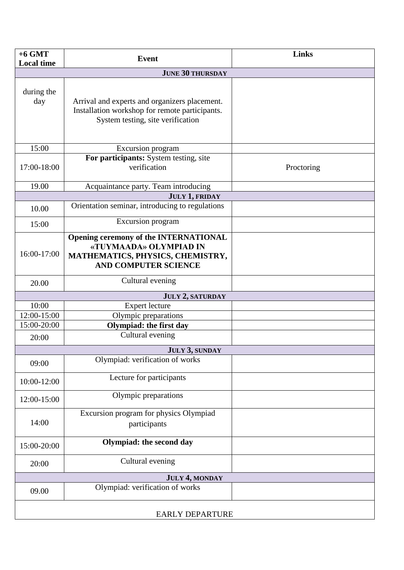| $+6$ GMT<br><b>Local time</b> | <b>Event</b>                                                                                                                              | <b>Links</b> |  |
|-------------------------------|-------------------------------------------------------------------------------------------------------------------------------------------|--------------|--|
| <b>JUNE 30 THURSDAY</b>       |                                                                                                                                           |              |  |
| during the<br>day             | Arrival and experts and organizers placement.<br>Installation workshop for remote participants.<br>System testing, site verification      |              |  |
| 15:00                         | Excursion program                                                                                                                         |              |  |
| 17:00-18:00                   | For participants: System testing, site<br>verification                                                                                    | Proctoring   |  |
| 19.00                         | Acquaintance party. Team introducing                                                                                                      |              |  |
| JULY 1, FRIDAY                |                                                                                                                                           |              |  |
| 10.00                         | Orientation seminar, introducing to regulations                                                                                           |              |  |
| 15:00                         | Excursion program                                                                                                                         |              |  |
| 16:00-17:00                   | <b>Opening ceremony of the INTERNATIONAL</b><br>«TUYMAADA» OLYMPIAD IN<br>MATHEMATICS, PHYSICS, CHEMISTRY,<br><b>AND COMPUTER SCIENCE</b> |              |  |
| 20.00                         | Cultural evening                                                                                                                          |              |  |
| <b>JULY 2, SATURDAY</b>       |                                                                                                                                           |              |  |
| 10:00                         | <b>Expert lecture</b>                                                                                                                     |              |  |
| 12:00-15:00                   | Olympic preparations                                                                                                                      |              |  |
| 15:00-20:00                   | <b>Olympiad: the first day</b>                                                                                                            |              |  |
| 20:00                         | Cultural evening                                                                                                                          |              |  |
| JULY 3, SUNDAY                |                                                                                                                                           |              |  |
| 09:00                         | Olympiad: verification of works                                                                                                           |              |  |
| 10:00-12:00                   | Lecture for participants                                                                                                                  |              |  |
| 12:00-15:00                   | Olympic preparations                                                                                                                      |              |  |
| 14:00                         | Excursion program for physics Olympiad<br>participants                                                                                    |              |  |
| 15:00-20:00                   | Olympiad: the second day                                                                                                                  |              |  |
| 20:00                         | Cultural evening                                                                                                                          |              |  |
| JULY 4, MONDAY                |                                                                                                                                           |              |  |
| 09.00                         | Olympiad: verification of works                                                                                                           |              |  |
| <b>EARLY DEPARTURE</b>        |                                                                                                                                           |              |  |